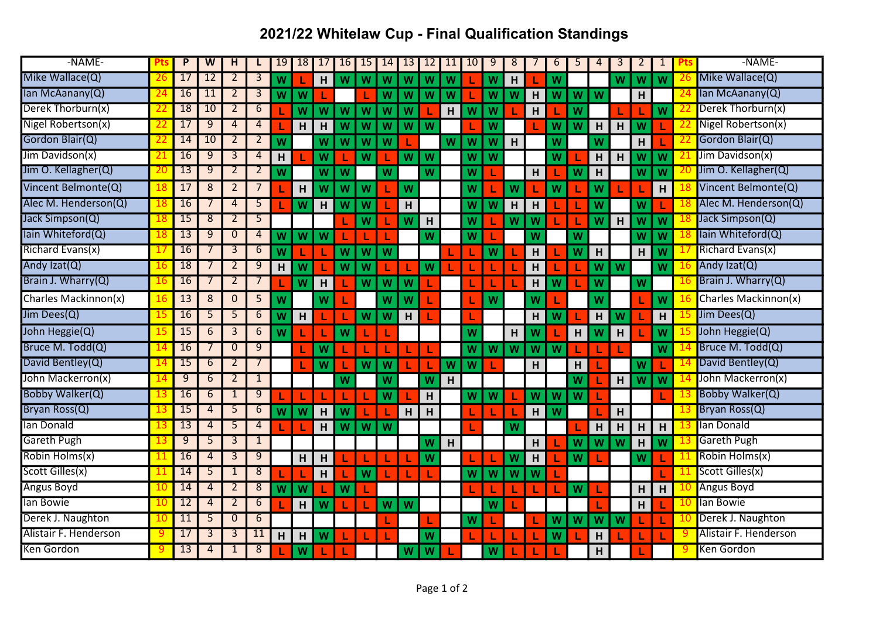## 2021/22 Whitelaw Cup - Final Qualification Standings

| -NAME-                |               | P               | W  | H              | L              | 19 | 18 | 17 | 16 | 15 | 14 | 13 | 12 | 11 | 10 | 9 | 8                         | $\prime$                  | 6 | 5 | $\overline{4}$ | 3 | 2 | $\mathbf{1}$ |     | -NAME-                    |
|-----------------------|---------------|-----------------|----|----------------|----------------|----|----|----|----|----|----|----|----|----|----|---|---------------------------|---------------------------|---|---|----------------|---|---|--------------|-----|---------------------------|
| Mike Wallace(Q)       | 26            | 17              | 12 | $\overline{2}$ | $\overline{3}$ | W  |    | H  | W  | W  | W  | W  | W  | W  |    | W | H                         |                           | W |   |                | W | W | W            |     | Mike Wallace(Q)           |
| lan McAanany(Q)       |               | 16              | 11 | 2              | $\overline{3}$ | W  | W  |    |    |    | W  | W  | W  | W  |    | W | W                         | H                         | W | W | W              |   | H |              |     | lan McAanany(Q)           |
| Derek Thorburn(x)     | 22            | 18              | 10 | $\overline{2}$ | 6              |    | W  | W  | W  | W  | W  | W  |    | H  | W  | W |                           | н                         |   | W |                |   |   | W            |     | Derek Thorburn(x)         |
| Nigel Robertson(x)    | 22            | 17              | 9  | 4              | 4              |    | H  | H  | W  | W  | W  | W  | W  |    |    | W |                           |                           | W | W | H              | H | W |              |     | Nigel Robertson(x)        |
| Gordon Blair(Q)       | 22            | 14              | 10 | $\overline{2}$ | $\overline{2}$ | W  |    | W  | W  | W  | W  |    |    | W  | W  | W | H                         |                           | W |   | w              |   | H |              |     | Gordon Blair(Q)           |
| Jim Davidson(x)       | 21            | 16              | 9  | 3              | 4              | H  |    | W  |    | W  |    | W  | W  |    | W  | W |                           |                           | W |   | H              | H | W | W            |     | Jim Davidson(x)           |
| Jim O. Kellagher(Q)   | 20            | 13              | 9  | 2              | 2              | W  |    | W  | W  |    | W  |    | W  |    | W  |   |                           | H                         |   | W | H              |   | W | W            |     | Jim O. Kellagher(Q)       |
| Vincent Belmonte(Q)   | 18            | 17              | 8  | $\overline{2}$ | $\overline{7}$ |    | H  | W  | W  | W  |    | W  |    |    | W  |   | W                         |                           | W |   | W              |   |   | н            |     | Vincent Belmonte(Q)       |
| Alec M. Henderson(Q)  | 18            | 16              |    | $\overline{4}$ | 5              |    | W  | H  | W  | W  |    | H  |    |    | W  | W | H                         | н                         |   |   | W              |   | W |              |     | Alec M. Henderson(Q)      |
| Jack Simpson(Q)       |               | 15              | 8  | 2              | 5              |    |    |    |    | W  |    | W  | н  |    | W  |   | W                         | W                         |   |   | W              | H | W | W            |     | Jack Simpson(Q)           |
| lain Whiteford(Q)     |               | 13              | 9  | $\mathbf{0}$   | 4              | W  | W  | W  |    |    |    |    | W  |    | W  |   |                           | w                         |   | W |                |   | W | W            |     | lain Whiteford(Q)         |
| Richard Evans(x)      | $\frac{1}{2}$ | 16              |    | 3              | 6              | W  |    |    | W  | W  | W  |    |    |    |    | W |                           | н                         |   | W | н              |   | H | W            |     | Richard Evans(x)          |
| Andy Izat(Q)          | 16            | 18              |    | 2              | $\overline{9}$ | H  | W  |    | W  | W  |    |    | W  |    |    |   |                           | H                         |   |   | W              | W |   | W            |     | Andy Izat(Q)              |
| Brain J. Wharry(Q)    | 16            | 16              |    | $\overline{2}$ | $\overline{7}$ |    | W  | н  |    | W  | w  | W  |    |    |    |   |                           | н                         | W |   | W              |   | W |              | 16  | <b>Brain J. Wharry(Q)</b> |
| Charles Mackinnon(x)  | 16            | 13              | 8  | $\mathbf{0}$   | 5              | W  |    | W  |    |    | W  | W  |    |    |    | W |                           | w                         |   |   | W              |   |   | W            |     | Charles Mackinnon(x)      |
| Jim Dees(Q)           | 15            | 16              | 5  | 5              | 6              | W  | H  |    |    | W  | W  | H  |    |    |    |   |                           | H.                        | W |   | H              | W |   | H            |     | Jim Dees(Q)               |
| John Heggie(Q)        | 15            | 15              | 6  | 3              | 6              | W  |    |    | W  |    |    |    |    |    | W  |   | H                         | W                         |   | н | W              | H |   | W            |     | John Heggie(Q)            |
| Bruce M. Todd(Q)      |               | 16              |    | $\mathbf{0}$   | 9              |    |    | W  |    |    |    |    |    |    | W  | W | $\boldsymbol{\mathsf{W}}$ | $\boldsymbol{\mathsf{W}}$ | W |   |                |   |   | W            |     | Bruce M. Todd(Q)          |
| David Bentley(Q)      | 14            | 15              | 6  | $\overline{2}$ | 7              |    |    | W  |    | W  | W  |    |    | W  | W  |   |                           | H                         |   | н |                |   | W |              |     | David Bentley(Q)          |
| John Mackerron(x)     |               | 9               | 6  | 2              | $\overline{1}$ |    |    |    | W  |    | W  |    | W  | H  |    |   |                           |                           |   | W |                | H | W | W            |     | John Mackerron(x)         |
| Bobby Walker(Q)       | 13            | $\overline{16}$ | 6  | $\mathbf{1}$   | $\overline{9}$ |    |    |    |    |    | W  |    | H  |    | W  | W |                           | <b>W</b>                  | W | W |                |   |   |              |     | Bobby Walker(Q)           |
| Bryan Ross(Q)         | 13            | 15              | 4  | 5              | $\overline{6}$ | W  | W  | H  | W  |    |    | H  | н  |    |    |   |                           | H                         | W |   |                | H |   |              |     | Bryan Ross(Q)             |
| lan Donald            |               | 13              | 4  | 5              | 4              |    |    | н  | W  | W  | W  |    |    |    |    |   | W                         |                           |   |   | н              | н | н | H            |     | lan Donald                |
| <b>Gareth Pugh</b>    | 13            | $\overline{9}$  | 5  | 3              | $\mathbf{1}$   |    |    |    |    |    |    |    | W  | H  |    |   |                           | H.                        |   | W | W              | W | H | W            |     | <b>Gareth Pugh</b>        |
| Robin Holms(x)        | 11            | 16              | 4  | 3              | $\overline{9}$ |    | H  | H  |    |    |    |    | W  |    |    |   | W                         | H                         |   | W |                |   | W |              |     | Robin Holms(x)            |
| Scott Gilles(x)       | 11            | 14              | 5  | $\mathbf{1}$   | $\overline{8}$ |    |    | H  |    | W  |    |    |    |    | W  | W | W                         | W                         |   |   |                |   |   |              | -11 | Scott Gilles(x)           |
| <b>Angus Boyd</b>     | 10            | 14              | 4  | $\overline{2}$ | $\overline{8}$ | W  | W  |    | W  |    |    |    |    |    |    |   |                           |                           |   | W |                |   | H | н            |     | 10 Angus Boyd             |
| lan Bowie             | 10            | 12              | 4  | 2              | 6              |    | H  | W  |    |    | W  | W  |    |    |    | W |                           |                           |   |   |                |   | H |              |     | lan Bowie                 |
| Derek J. Naughton     | 10            | 11              | 5  | $\mathbf{0}$   | 6              |    |    |    |    |    |    |    |    |    | W  |   |                           |                           | W | W | W              | W |   |              |     | 10 Derek J. Naughton      |
| Alistair F. Henderson | 9             | 17              | 3  | 3              | 11             | H  | H  | W  |    |    |    |    | W  |    |    |   |                           |                           | W |   | H              |   |   |              |     | Alistair F. Henderson     |
| Ken Gordon            | 9.            | 13              | 4  | $\mathbf{1}$   | 8              |    | W  |    |    |    |    | W  | W  |    |    | W |                           |                           |   |   | H              |   |   |              |     | Ken Gordon                |